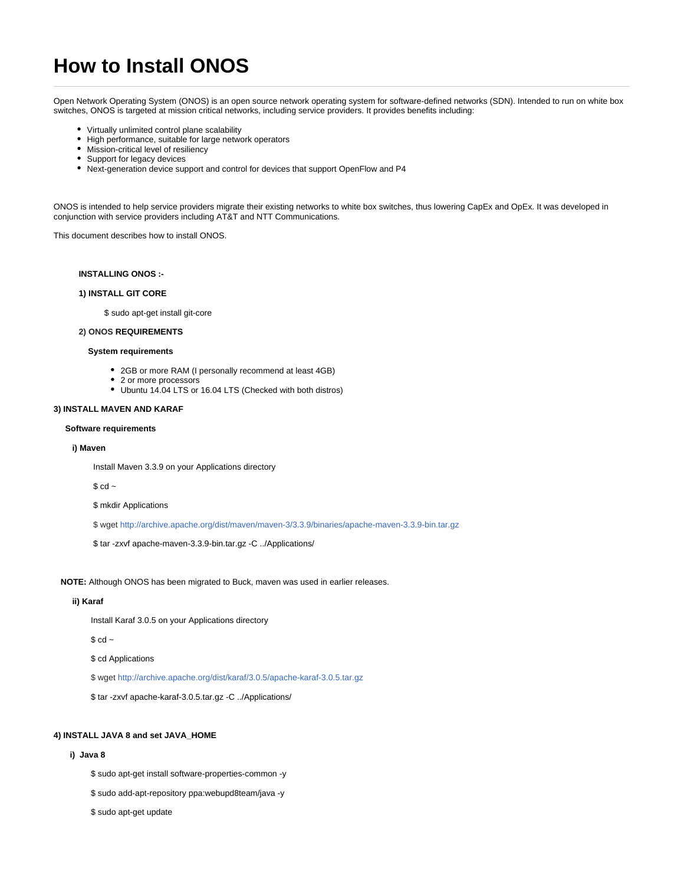# **How to Install ONOS**

Open Network Operating System (ONOS) is an open source network operating system for software-defined networks (SDN). Intended to run on white box switches, ONOS is targeted at mission critical networks, including service providers. It provides benefits including:

- Virtually unlimited control plane scalability
- High performance, suitable for large network operators
- Mission-critical level of resiliency
- $\bullet$ Support for legacy devices
- Next-generation device support and control for devices that support OpenFlow and P4

ONOS is intended to help service providers migrate their existing networks to white box switches, thus lowering CapEx and OpEx. It was developed in conjunction with service providers including AT&T and NTT Communications.

This document describes how to install ONOS.

## **INSTALLING ONOS :-**

## **1) INSTALL GIT CORE**

\$ sudo apt-get install git-core

## **2) ONOS REQUIREMENTS**

## **System requirements**

- 2GB or more RAM (I personally recommend at least 4GB)
- 2 or more processors
- Ubuntu 14.04 LTS or 16.04 LTS (Checked with both distros)

#### **3) INSTALL MAVEN AND KARAF**

## **Software requirements**

#### **i) Maven**

Install Maven 3.3.9 on your Applications directory

 $$$  cd  $~$ 

\$ mkdir Applications

\$ wget <http://archive.apache.org/dist/maven/maven-3/3.3.9/binaries/apache-maven-3.3.9-bin.tar.gz>

\$ tar -zxvf apache-maven-3.3.9-bin.tar.gz -C ../Applications/

 **NOTE:** Although ONOS has been migrated to Buck, maven was used in earlier releases.

## **ii) Karaf**

Install Karaf 3.0.5 on your Applications directory

 $$$  cd  $~$ 

\$ cd Applications

\$ wget <http://archive.apache.org/dist/karaf/3.0.5/apache-karaf-3.0.5.tar.gz>

\$ tar -zxvf apache-karaf-3.0.5.tar.gz -C ../Applications/

## **4) INSTALL JAVA 8 and set JAVA\_HOME**

## **i) Java 8**

\$ sudo apt-get install software-properties-common -y

\$ sudo add-apt-repository ppa:webupd8team/java -y

\$ sudo apt-get update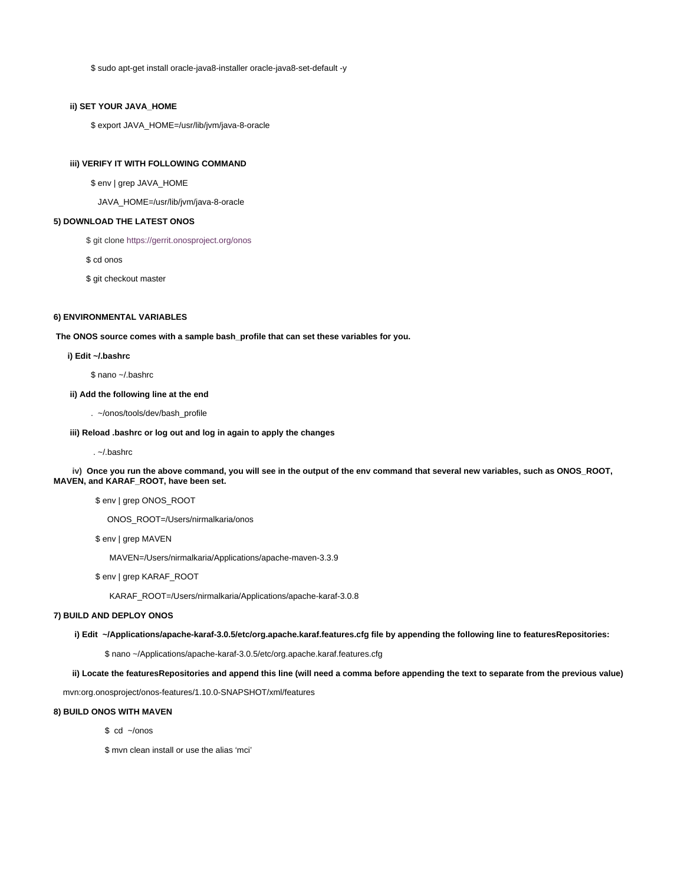\$ sudo apt-get install oracle-java8-installer oracle-java8-set-default -y

## **ii) SET YOUR JAVA\_HOME**

\$ export JAVA\_HOME=/usr/lib/jvm/java-8-oracle

## **iii) VERIFY IT WITH FOLLOWING COMMAND**

\$ env | grep JAVA\_HOME

JAVA\_HOME=/usr/lib/jvm/java-8-oracle

## **5) DOWNLOAD THE LATEST ONOS**

\$ git clone<https://gerrit.onosproject.org/onos>

\$ cd onos

\$ git checkout master

## **6) ENVIRONMENTAL VARIABLES**

**The ONOS source comes with a sample bash\_profile that can set these variables for you.**

## **i) Edit ~/.bashrc**

\$ nano ~/.bashrc

## **ii) Add the following line at the end**

. ~/onos/tools/dev/bash\_profile

## **iii) Reload .bashrc or log out and log in again to apply the changes**

. ~/.bashrc

 **iv) Once you run the above command, you will see in the output of the env command that several new variables, such as ONOS\_ROOT, MAVEN, and KARAF\_ROOT, have been set.**

\$ env | grep ONOS\_ROOT

ONOS\_ROOT=/Users/nirmalkaria/onos

\$ env | grep MAVEN

MAVEN=/Users/nirmalkaria/Applications/apache-maven-3.3.9

\$ env | grep KARAF\_ROOT

KARAF\_ROOT=/Users/nirmalkaria/Applications/apache-karaf-3.0.8

## **7) BUILD AND DEPLOY ONOS**

**i) Edit ~/Applications/apache-karaf-3.0.5/etc/org.apache.karaf.features.cfg file by appending the following line to featuresRepositories:**

\$ nano ~/Applications/apache-karaf-3.0.5/etc/org.apache.karaf.features.cfg

 **ii) Locate the featuresRepositories and append this line (will need a comma before appending the text to separate from the previous value)**

mvn:org.onosproject/onos-features/1.10.0-SNAPSHOT/xml/features

## **8) BUILD ONOS WITH MAVEN**

\$ cd ~/onos

\$ mvn clean install or use the alias 'mci'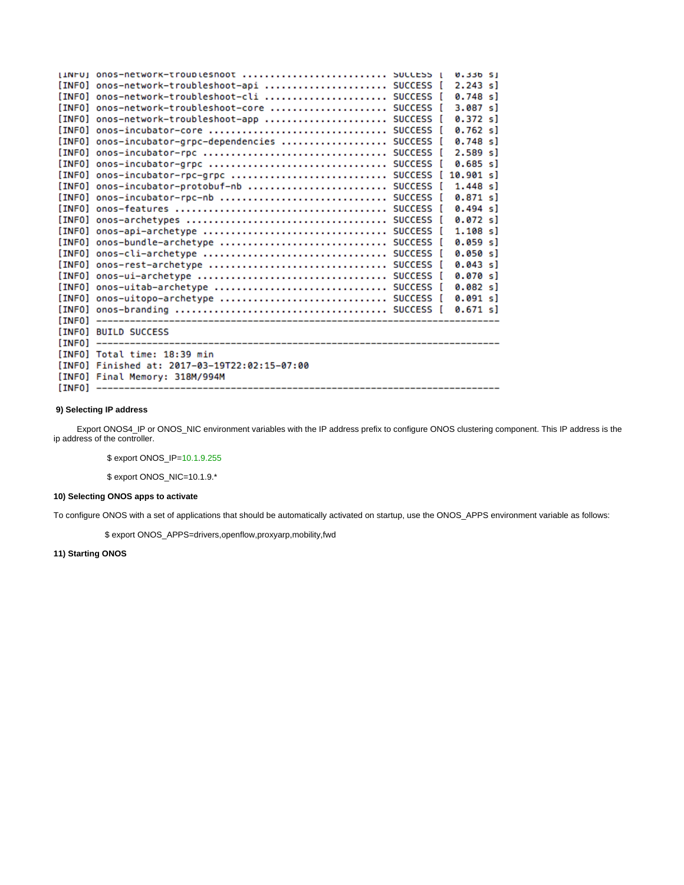| ILNFUI ONOS-NETWOFK-TFOUDLESNOOT  SULLESS I        |  | <b>0.33b SI</b> |  |
|----------------------------------------------------|--|-----------------|--|
| [INFO] onos-network-troubleshoot-api  SUCCESS [    |  | $2.243$ sl      |  |
| [INFO] onos-network-troubleshoot-cli  SUCCESS [    |  | $0.748$ sl      |  |
| [INFO] onos-network-troubleshoot-core  SUCCESS [   |  | 3.087 s1        |  |
| [INFO] onos-network-troubleshoot-app  SUCCESS [    |  | 0.372 s1        |  |
| [INFO] onos-incubator-core  SUCCESS [              |  | 0.762 s1        |  |
| [INFO] onos-incubator-grpc-dependencies  SUCCESS [ |  | $0.748$ sl      |  |
|                                                    |  | $2.589$ sl      |  |
| [INFO] onos-incubator-grpc  SUCCESS [              |  | $0.685$ sl      |  |
| [INFO] onos-incubator-rpc-grpc  SUCCESS            |  | 10.901 s        |  |
| [INFO] onos-incubator-protobuf-nb  SUCCESS [       |  | $1.448$ sl      |  |
| [INFO] onos-incubator-rpc-nb  SUCCESS [            |  | 0.871 sl        |  |
|                                                    |  | 0.494 s]        |  |
|                                                    |  | 0.072 s1        |  |
|                                                    |  | $1.108$ sl      |  |
| [INFO] onos-bundle-archetype  SUCCESS [            |  | 0.059 sl        |  |
| [INFO] onos-cli-archetype  SUCCESS [               |  | 0.050 s1        |  |
| [INFO] onos-rest-archetype  SUCCESS [              |  | 0.043 s1        |  |
|                                                    |  | 0.070 s]        |  |
| [INFO] onos-uitab-archetype  SUCCESS [             |  | 0.082 s1        |  |
| [INFO] onos-uitopo-archetype  SUCCESS [            |  | 0.091 sl        |  |
|                                                    |  | 0.671 s1        |  |
|                                                    |  |                 |  |
| [INFO] BUILD SUCCESS                               |  |                 |  |
|                                                    |  |                 |  |
| [INFO] Total time: 18:39 min                       |  |                 |  |
| [INFO] Finished at: 2017-03-19T22:02:15-07:00      |  |                 |  |
| [INFO] Final Memory: 318M/994M                     |  |                 |  |
|                                                    |  |                 |  |

## **9) Selecting IP address**

 Export ONOS4\_IP or ONOS\_NIC environment variables with the IP address prefix to configure ONOS clustering component. This IP address is the ip address of the controller.

\$ export ONOS\_IP=10.1.9.255

\$ export ONOS\_NIC=10.1.9.\*

# **10) Selecting ONOS apps to activate**

To configure ONOS with a set of applications that should be automatically activated on startup, use the ONOS\_APPS environment variable as follows:

\$ export ONOS\_APPS=drivers,openflow,proxyarp,mobility,fwd

# **11) Starting ONOS**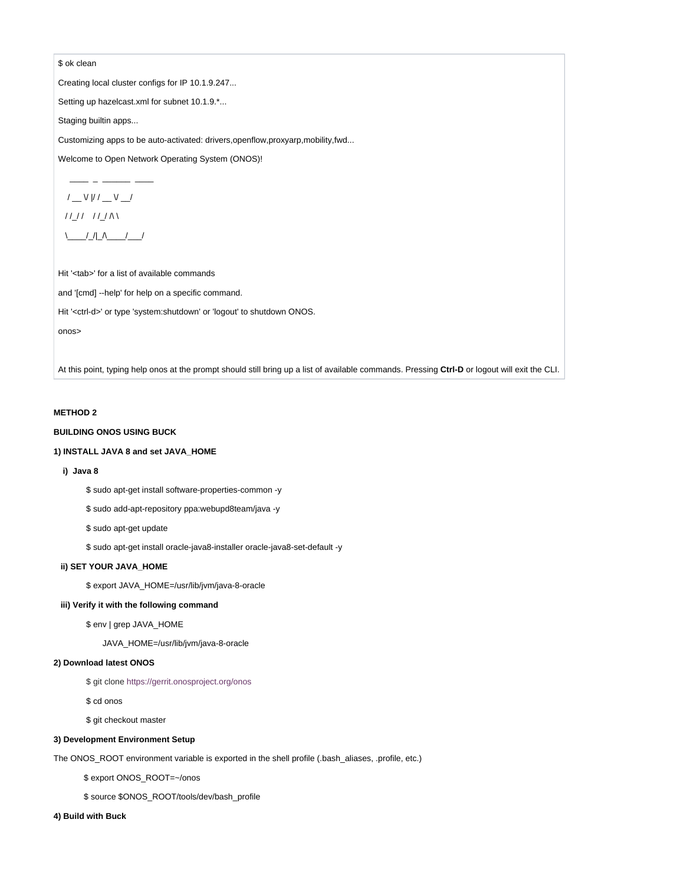## \$ ok clean

Creating local cluster configs for IP 10.1.9.247...

Setting up hazelcast.xml for subnet 10.1.9.\*...

Staging builtin apps...

Customizing apps to be auto-activated: drivers, openflow, proxyarp, mobility, fwd...

Welcome to Open Network Operating System (ONOS)!

$$
\begin{array}{c}\n1 - \sqrt{11 - 11} \\
1 & \text{if } 1\n\end{array}
$$

Hit '<tab>' for a list of available commands

and '[cmd] --help' for help on a specific command.

Hit '<ctrl-d>' or type 'system:shutdown' or 'logout' to shutdown ONOS.

onos>

At this point, typing help onos at the prompt should still bring up a list of available commands. Pressing Ctrl-D or logout will exit the CLI.

## **METHOD 2**

# **BUILDING ONOS USING BUCK**

## 1) INSTALL JAVA 8 and set JAVA HOME

## i) Java 8

\$ sudo apt-get install software-properties-common -y

\$ sudo add-apt-repository ppa:webupd8team/java -y

\$ sudo apt-get update

\$ sudo apt-get install oracle-java8-installer oracle-java8-set-default -y

## ii) SET YOUR JAVA\_HOME

\$ export JAVA\_HOME=/usr/lib/jvm/java-8-oracle

## iii) Verify it with the following command

\$ env | grep JAVA\_HOME

JAVA\_HOME=/usr/lib/jvm/java-8-oracle

# 2) Download latest ONOS

\$ git clone https://gerrit.onosproject.org/onos

\$ cd onos

\$ git checkout master

## 3) Development Environment Setup

The ONOS\_ROOT environment variable is exported in the shell profile (.bash\_aliases, .profile, etc.)

\$ export ONOS\_ROOT=~/onos

\$ source \$ONOS\_ROOT/tools/dev/bash\_profile

## 4) Build with Buck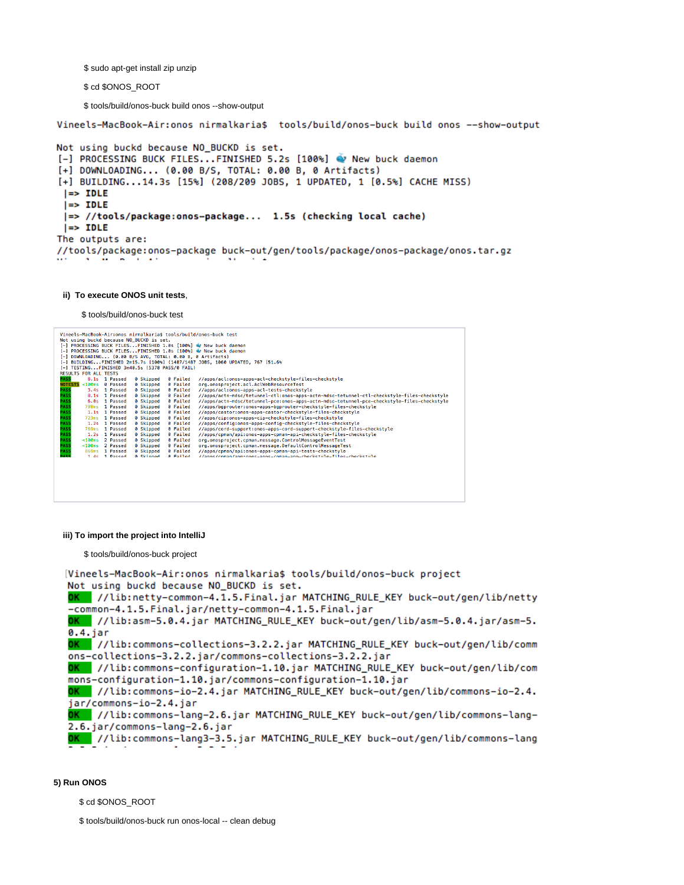\$ sudo apt-get install zip unzip

\$ cd \$ONOS\_ROOT

\$ tools/build/onos-buck build onos --show-output

Vineels-MacBook-Air:onos nirmalkaria\$ tools/build/onos-buck build onos --show-output

```
Not using buckd because NO_BUCKD is set.
[-] PROCESSING BUCK FILES...FINISHED 5.2s [100%] Wew buck daemon
[+] DOWNLOADING... (0.00 B/S, TOTAL: 0.00 B, 0 Artifacts)
[+] BUILDING...14.3s [15%] (208/209 JOBS, 1 UPDATED, 1 [0.5%] CACHE MISS)
 |\Rightarrow IDLE
 | \Rightarrow IDLE
 |=> //tools/package:onos-package... 1.5s (checking local cache)
 | \Rightarrow IDLE
The outputs are:
//tools/package:onos-package buck-out/gen/tools/package/onos-package/onos.tar.gz
```
## **ii) To execute ONOS unit tests**,

\$ tools/build/onos-buck test

| Vineels-MacBook-Air:onos nirmalkariaš tools/build/onos-buck test<br>Not using buckd because NO BUCKD is set.<br>[-] PROCESSING BUCK FILESFINISHED 1.0s [100%] @ New buck daemon<br>[-] PROCESSING BUCK FILESFINISHED 1.0s [100%] @ New buck daemon<br>[-] DOWNLOADING (0.00 B/S AVG, TOTAL: 0.00 B, 0 Artifacts)<br>[-] BUILDINGFINISHED 2m15.7s [100%] (1487/1487 JOBS, 1060 UPDATED, 767 [51.6%<br>[-] TESTINGFINISHED 3m40.5s (5378 PASS/0 FAIL) |                          |           |                 |                                                                                            |  |  |  |  |  |  |
|-----------------------------------------------------------------------------------------------------------------------------------------------------------------------------------------------------------------------------------------------------------------------------------------------------------------------------------------------------------------------------------------------------------------------------------------------------|--------------------------|-----------|-----------------|--------------------------------------------------------------------------------------------|--|--|--|--|--|--|
| <b>RESULTS FOR ALL TESTS</b>                                                                                                                                                                                                                                                                                                                                                                                                                        |                          |           |                 |                                                                                            |  |  |  |  |  |  |
| <b>PASS</b>                                                                                                                                                                                                                                                                                                                                                                                                                                         | 8.1s 1 Passed            | 0 Skipped | 0 Failed        | //apps/acl:onos-apps-acl-checkstyle-files-checkstyle                                       |  |  |  |  |  |  |
| <b>NOTESTS</b>                                                                                                                                                                                                                                                                                                                                                                                                                                      | < 100ms<br>0 Passed      | 0 Skipped | 0 Failed        | org.onosproiect.acl.AclWebResourceTest                                                     |  |  |  |  |  |  |
| <b>PASS</b>                                                                                                                                                                                                                                                                                                                                                                                                                                         | 3.4s 1 Passed            | 0 Skipped | 0 Failed        | //apps/acl:onos-apps-acl-tests-checkstyle                                                  |  |  |  |  |  |  |
| <b>PASS</b>                                                                                                                                                                                                                                                                                                                                                                                                                                         | 8.1s 1 Passed            | 0 Skipped | 0 Failed        | //apps/actn-mdsc/tetunnel-ctl:onos-apps-actn-mdsc-tetunnel-ctl-checkstyle-files-checkstyle |  |  |  |  |  |  |
| <b>PASS</b>                                                                                                                                                                                                                                                                                                                                                                                                                                         | 6.0s 1 Passed            | 0 Skipped | 0 Failed        | //apps/actn-mdsc/tetunnel-pce:onos-apps-actn-mdsc-tetunnel-pce-checkstyle-files-checkstyle |  |  |  |  |  |  |
| <b>PASS</b>                                                                                                                                                                                                                                                                                                                                                                                                                                         | 798ms 1 Passed           | 0 Skipped | 0 Failed        | //apps/bgprouter:onos-apps-bgprouter-checkstyle-files-checkstyle                           |  |  |  |  |  |  |
| <b>PASS</b>                                                                                                                                                                                                                                                                                                                                                                                                                                         | 1.1s 1 Passed            | 0 Skipped | 0 Failed        | //apps/castor:onos-apps-castor-checkstyle-files-checkstyle                                 |  |  |  |  |  |  |
| <b>PASS</b>                                                                                                                                                                                                                                                                                                                                                                                                                                         | 723ms 1 Passed           | 0 Skipped | 0 Failed        | //apps/cip:onos-apps-cip-checkstyle-files-checkstyle                                       |  |  |  |  |  |  |
| <b>PASS</b>                                                                                                                                                                                                                                                                                                                                                                                                                                         | 1.2s<br>1 Passed         | 0 Skipped | 0 Failed        | //apps/config:onos-apps-config-checkstyle-files-checkstyle                                 |  |  |  |  |  |  |
| <b>PASS</b>                                                                                                                                                                                                                                                                                                                                                                                                                                         | 1 Passed<br>769ms        | 0 Skipped | 0 Failed        | //apps/cord-support:onos-apps-cord-support-checkstyle-files-checkstyle                     |  |  |  |  |  |  |
| <b>PASS</b>                                                                                                                                                                                                                                                                                                                                                                                                                                         | 1 Passed<br>1.2s         | 0 Skipped | 0 Failed        | //apps/cpman/api:onos-apps-cpman-api-checkstyle-files-checkstyle                           |  |  |  |  |  |  |
| <b>PASS</b>                                                                                                                                                                                                                                                                                                                                                                                                                                         | 2 Passed<br>$<$ 100 $ms$ | 0 Skipped | 0 Failed        | org.onosproject.cpman.message.ControlMessageEventTest                                      |  |  |  |  |  |  |
| <b>PASS</b>                                                                                                                                                                                                                                                                                                                                                                                                                                         | 2 Passed<br>< 100ms      | 0 Skipped | 0 Failed        | org.onosproject.cpman.message.DefaultControlMessageTest                                    |  |  |  |  |  |  |
| <b>PASS</b>                                                                                                                                                                                                                                                                                                                                                                                                                                         | 1 Passed<br>869ms        | 0 Skipped | 0 Failed        | //apps/cpman/api:onos-apps-cpman-api-tests-checkstyle                                      |  |  |  |  |  |  |
| DACC                                                                                                                                                                                                                                                                                                                                                                                                                                                | 1 de 1 Decend            | a Chinned | <b>A Failed</b> | //anns/cnman/ann:onns-anns-cnman-ann-checkstyle-files-checkstyle                           |  |  |  |  |  |  |
|                                                                                                                                                                                                                                                                                                                                                                                                                                                     |                          |           |                 |                                                                                            |  |  |  |  |  |  |

## **iii) To import the project into IntelliJ**

\$ tools/build/onos-buck project

```
[Vineels-MacBook-Air:onos nirmalkaria$ tools/build/onos-buck project
Not using buckd because NO_BUCKD is set.
OK //lib:netty-common-4.1.5.Final.jar MATCHING_RULE_KEY buck-out/gen/lib/netty
-common-4.1.5. Final.jar/netty-common-4.1.5. Final.jar
OK //lib:asm-5.0.4.jar MATCHING_RULE_KEY buck-out/gen/lib/asm-5.0.4.jar/asm-5.
0.4. jar
OK //lib:commons-collections-3.2.2.jar MATCHING_RULE_KEY buck-out/gen/lib/comm
ons-collections-3.2.2.jar/commons-collections-3.2.2.jar
OK //lib:commons-configuration-1.10.jar MATCHING_RULE_KEY buck-out/gen/lib/com
mons-configuration-1.10.jar/commons-configuration-1.10.jar
0K //lib:commons-io-2.4.jar MATCHING_RULE_KEY buck-out/gen/lib/commons-io-2.4.
jar/commons-io-2.4.jar
OK //lib:commons-lang-2.6.jar MATCHING_RULE_KEY buck-out/gen/lib/commons-lang-
2.6. jar/commons-lang-2.6. jar
0K //lib:commons-lang3-3.5.jar MATCHING_RULE_KEY buck-out/gen/lib/commons-lang
```
## **5) Run ONOS**

\$ cd \$ONOS\_ROOT

\$ tools/build/onos-buck run onos-local -- clean debug